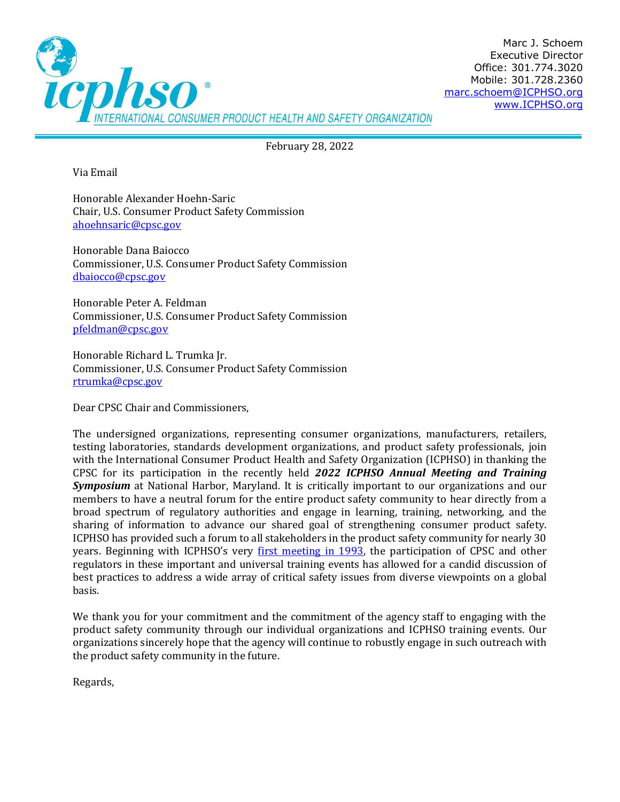

February 28, 2022

Via Email

Honorable Alexander Hoehn-Saric Chair, U.S. Consumer Product Safety Commission [ahoehnsaric@cpsc.gov](mailto:ahoehnsaric@cpsc.gov)

Honorable Dana Baiocco Commissioner, U.S. Consumer Product Safety Commission [dbaiocco@cpsc.gov](mailto:dbaiocco@cpsc.gov)

Honorable Peter A. Feldman Commissioner, U.S. Consumer Product Safety Commission [pfeldman@cpsc.gov](mailto:pfeldman@cpsc.gov)

Honorable Richard L. Trumka Jr. Commissioner, U.S. Consumer Product Safety Commission [rtrumka@cpsc.gov](mailto:rtrumka@cpsc.gov)

Dear CPSC Chair and Commissioners,

The undersigned organizations, representing consumer organizations, manufacturers, retailers, testing laboratories, standards development organizations, and product safety professionals, join with the International Consumer Product Health and Safety Organization (ICPHSO) in thanking the CPSC for its participation in the recently held *2022 ICPHSO Annual Meeting and Training Symposium* at National Harbor, Maryland. It is critically important to our organizations and our members to have a neutral forum for the entire product safety community to hear directly from a broad spectrum of regulatory authorities and engage in learning, training, networking, and the sharing of information to advance our shared goal of strengthening consumer product safety. ICPHSO has provided such a forum to all stakeholders in the product safety community for nearly 30 years. Beginning with ICPHSO's very [first meeting in 1993,](https://cdn.ymaws.com/icphso.org/resource/resmgr/2020_am_images/icphso_history.pdf) the participation of CPSC and other regulators in these important and universal training events has allowed for a candid discussion of best practices to address a wide array of critical safety issues from diverse viewpoints on a global basis.

We thank you for your commitment and the commitment of the agency staff to engaging with the product safety community through our individual organizations and ICPHSO training events. Our organizations sincerely hope that the agency will continue to robustly engage in such outreach with the product safety community in the future.

Regards,